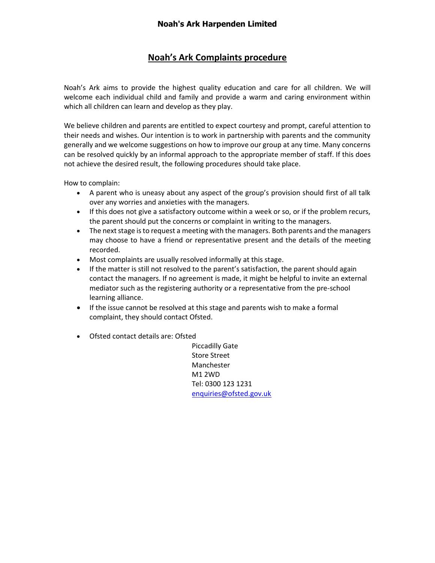## **Noah's Ark Complaints procedure**

Noah's Ark aims to provide the highest quality education and care for all children. We will welcome each individual child and family and provide a warm and caring environment within which all children can learn and develop as they play.

We believe children and parents are entitled to expect courtesy and prompt, careful attention to their needs and wishes. Our intention is to work in partnership with parents and the community generally and we welcome suggestions on how to improve our group at any time. Many concerns can be resolved quickly by an informal approach to the appropriate member of staff. If this does not achieve the desired result, the following procedures should take place.

How to complain:

- A parent who is uneasy about any aspect of the group's provision should first of all talk over any worries and anxieties with the managers.
- If this does not give a satisfactory outcome within a week or so, or if the problem recurs, the parent should put the concerns or complaint in writing to the managers.
- The next stage is to request a meeting with the managers. Both parents and the managers may choose to have a friend or representative present and the details of the meeting recorded.
- Most complaints are usually resolved informally at this stage.
- If the matter is still not resolved to the parent's satisfaction, the parent should again contact the managers. If no agreement is made, it might be helpful to invite an external mediator such as the registering authority or a representative from the pre-school learning alliance.
- If the issue cannot be resolved at this stage and parents wish to make a formal complaint, they should contact Ofsted.
- Ofsted contact details are: Ofsted

Piccadilly Gate Store Street Manchester M1 2WD Tel: 0300 123 1231 [enquiries@ofsted.gov.uk](mailto:enquiries@ofsted.gov.uk)